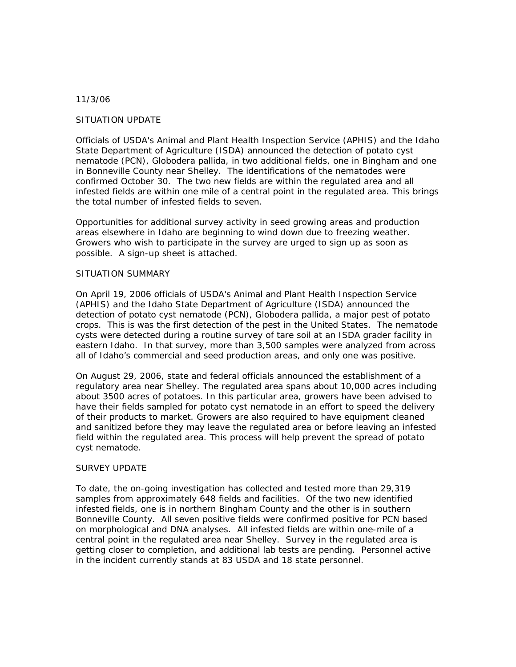## 11/3/06

## SITUATION UPDATE

Officials of USDA's Animal and Plant Health Inspection Service (APHIS) and the Idaho State Department of Agriculture (ISDA) announced the detection of potato cyst nematode (PCN), Globodera pallida, in two additional fields, one in Bingham and one in Bonneville County near Shelley. The identifications of the nematodes were confirmed October 30. The two new fields are within the regulated area and all infested fields are within one mile of a central point in the regulated area. This brings the total number of infested fields to seven.

Opportunities for additional survey activity in seed growing areas and production areas elsewhere in Idaho are beginning to wind down due to freezing weather. Growers who wish to participate in the survey are urged to sign up as soon as possible. A sign-up sheet is attached.

## SITUATION SUMMARY

On April 19, 2006 officials of USDA's Animal and Plant Health Inspection Service (APHIS) and the Idaho State Department of Agriculture (ISDA) announced the detection of potato cyst nematode (PCN), Globodera pallida, a major pest of potato crops. This is was the first detection of the pest in the United States. The nematode cysts were detected during a routine survey of tare soil at an ISDA grader facility in eastern Idaho. In that survey, more than 3,500 samples were analyzed from across all of Idaho's commercial and seed production areas, and only one was positive.

On August 29, 2006, state and federal officials announced the establishment of a regulatory area near Shelley. The regulated area spans about 10,000 acres including about 3500 acres of potatoes. In this particular area, growers have been advised to have their fields sampled for potato cyst nematode in an effort to speed the delivery of their products to market. Growers are also required to have equipment cleaned and sanitized before they may leave the regulated area or before leaving an infested field within the regulated area. This process will help prevent the spread of potato cyst nematode.

## SURVEY UPDATE

To date, the on-going investigation has collected and tested more than 29,319 samples from approximately 648 fields and facilities. Of the two new identified infested fields, one is in northern Bingham County and the other is in southern Bonneville County. All seven positive fields were confirmed positive for PCN based on morphological and DNA analyses. All infested fields are within one-mile of a central point in the regulated area near Shelley. Survey in the regulated area is getting closer to completion, and additional lab tests are pending. Personnel active in the incident currently stands at 83 USDA and 18 state personnel.